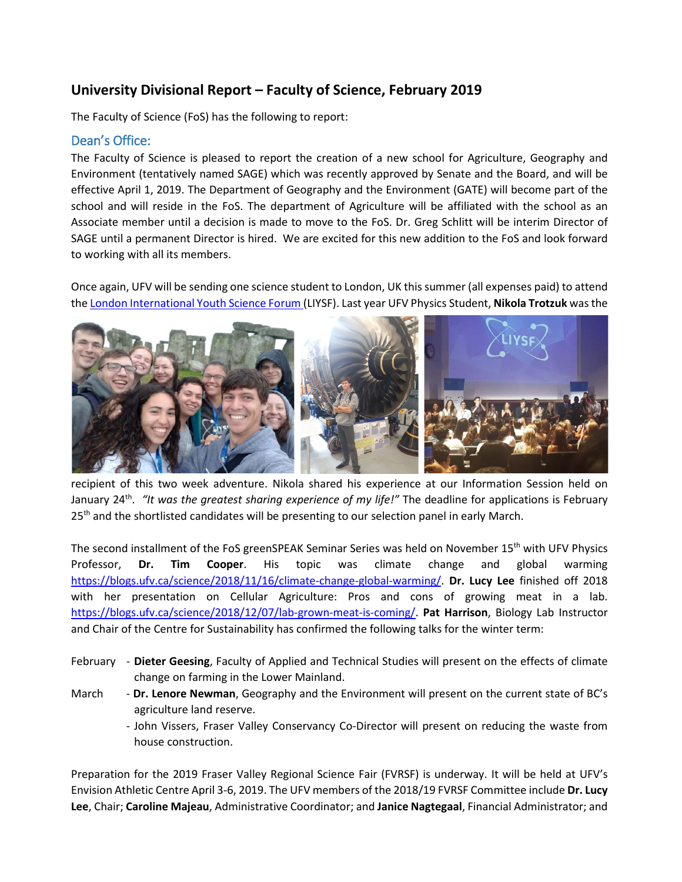# **University Divisional Report – Faculty of Science, February 2019**

The Faculty of Science (FoS) has the following to report:

# Dean's Office:

The Faculty of Science is pleased to report the creation of a new school for Agriculture, Geography and Environment (tentatively named SAGE) which was recently approved by Senate and the Board, and will be effective April 1, 2019. The Department of Geography and the Environment (GATE) will become part of the school and will reside in the FoS. The department of Agriculture will be affiliated with the school as an Associate member until a decision is made to move to the FoS. Dr. Greg Schlitt will be interim Director of SAGE until a permanent Director is hired. We are excited for this new addition to the FoS and look forward to working with all its members.

Once again, UFV will be sending one science student to London, UK this summer (all expenses paid) to attend the [London International Youth Science Forum \(](https://www.liysf.org.uk/)LIYSF). Last year UFV Physics Student, **Nikola Trotzuk** was the



recipient of this two week adventure. Nikola shared his experience at our Information Session held on January 24<sup>th</sup>. "It was the greatest sharing experience of my life!" The deadline for applications is February 25<sup>th</sup> and the shortlisted candidates will be presenting to our selection panel in early March.

The second installment of the FoS greenSPEAK Seminar Series was held on November 15<sup>th</sup> with UFV Physics Professor, **Dr. Tim Cooper**. His topic was climate change and global warming [https://blogs.ufv.ca/science/2018/11/16/climate-change-global-warming/.](https://blogs.ufv.ca/science/2018/11/16/climate-change-global-warming/) **Dr. Lucy Lee** finished off 2018 with her presentation on Cellular Agriculture: Pros and cons of growing meat in a lab. [https://blogs.ufv.ca/science/2018/12/07/lab-grown-meat-is-coming/.](https://blogs.ufv.ca/science/2018/12/07/lab-grown-meat-is-coming/) **Pat Harrison**, Biology Lab Instructor and Chair of the Centre for Sustainability has confirmed the following talks for the winter term:

- February **Dieter Geesing**, Faculty of Applied and Technical Studies will present on the effects of climate change on farming in the Lower Mainland.
- March **Dr. Lenore Newman**, Geography and the Environment will present on the current state of BC's agriculture land reserve.
	- John Vissers, Fraser Valley Conservancy Co-Director will present on reducing the waste from house construction.

Preparation for the 2019 Fraser Valley Regional Science Fair (FVRSF) is underway. It will be held at UFV's Envision Athletic Centre April 3-6, 2019. The UFV members of the 2018/19 FVRSF Committee include **Dr. Lucy Lee**, Chair; **Caroline Majeau**, Administrative Coordinator; and **Janice Nagtegaal**, Financial Administrator; and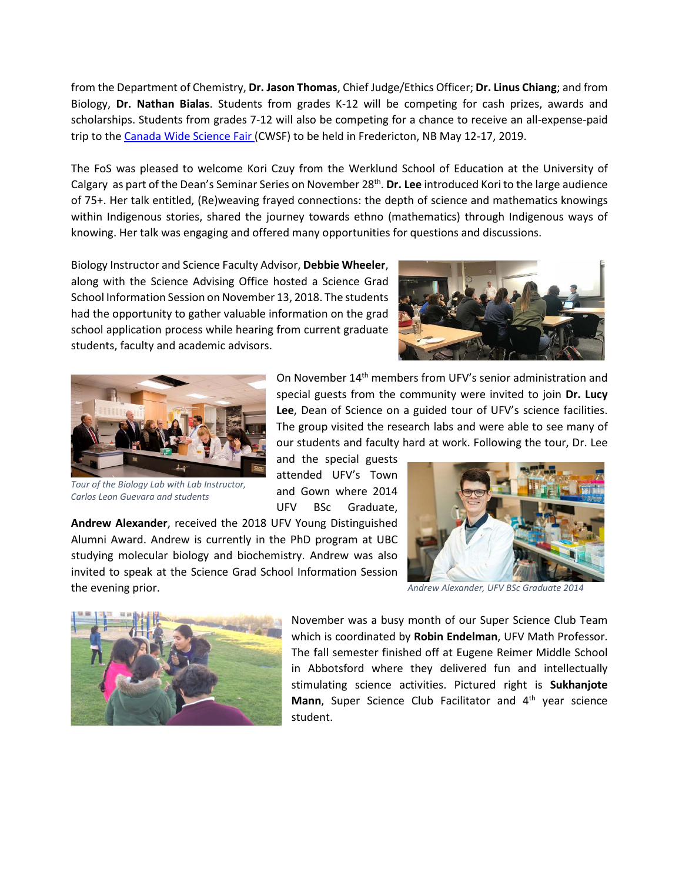from the Department of Chemistry, **Dr. Jason Thomas**, Chief Judge/Ethics Officer; **Dr. Linus Chiang**; and from Biology, **Dr. Nathan Bialas**. Students from grades K-12 will be competing for cash prizes, awards and scholarships. Students from grades 7-12 will also be competing for a chance to receive an all-expense-paid trip to th[e Canada Wide Science Fair \(](https://cwsf.youthscience.ca/welcome-cwsf)CWSF) to be held in Fredericton, NB May 12-17, 2019.

The FoS was pleased to welcome Kori Czuy from the [Werklund School of Education at the University of](https://werklund.ucalgary.ca/)  [Calgary](https://werklund.ucalgary.ca/) as part of the Dean's Seminar Series on November 28th. **Dr. Lee** introduced Kori to the large audience of 75+. Her talk entitled, (Re)weaving frayed connections: the depth of science and mathematics knowings within Indigenous stories, shared the journey towards ethno (mathematics) through Indigenous ways of knowing. Her talk was engaging and offered many opportunities for questions and discussions.

Biology Instructor and Science Faculty Advisor, **Debbie Wheeler**, along with the Science Advising Office hosted a Science Grad School Information Session on November 13, 2018. The students had the opportunity to gather valuable information on the grad school application process while hearing from current graduate students, faculty and academic advisors.





*Tour of the Biology Lab with Lab Instructor, Carlos Leon Guevara and students*

On November 14th members from UFV's senior administration and special guests from the community were invited to join **Dr. Lucy Lee**, Dean of Science on a guided tour of UFV's science facilities. The group visited the research labs and were able to see many of our students and faculty hard at work. Following the tour, Dr. Lee

and the special guests attended UFV's Town and Gown where 2014 UFV BSc Graduate,

**Andrew Alexander**, received the 2018 UFV Young Distinguished Alumni Award. Andrew is currently in the PhD program at UBC studying molecular biology and biochemistry. Andrew was also invited to speak at the Science Grad School Information Session the evening prior.



*Andrew Alexander, UFV BSc Graduate 2014*



November was a busy month of our Super Science Club Team which is coordinated by **Robin Endelman**, UFV Math Professor. The fall semester finished off at Eugene Reimer Middle School in Abbotsford where they delivered fun and intellectually stimulating science activities. Pictured right is **Sukhanjote**  Mann, Super Science Club Facilitator and 4<sup>th</sup> year science student.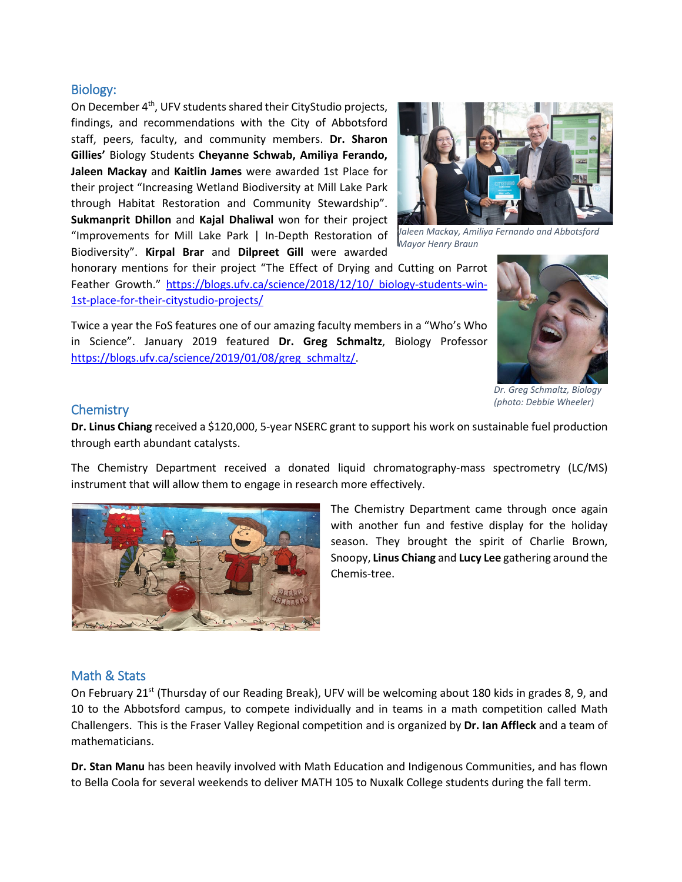## Biology:

On December 4<sup>th</sup>, UFV students shared their CityStudio projects, findings, and recommendations with the City of Abbotsford staff, peers, faculty, and community members. **Dr. Sharon Gillies'** Biology Students **Cheyanne Schwab, Amiliya Ferando, Jaleen Mackay** and **Kaitlin James** were awarded 1st Place for their project "Increasing Wetland Biodiversity at Mill Lake Park through Habitat Restoration and Community Stewardship". **Sukmanprit Dhillon** and **Kajal Dhaliwal** won for their project "Improvements for Mill Lake Park | In-Depth Restoration of Biodiversity". **Kirpal Brar** and **Dilpreet Gill** were awarded



*Jaleen Mackay, Amiliya Fernando and Abbotsford Mayor Henry Braun*

honorary mentions for their project "The Effect of Drying and Cutting on Parrot Feather Growth." [https://blogs.ufv.ca/science/2018/12/10/](https://blogs.ufv.ca/science/2018/12/10/%20biology-students-win-1st-place-for-their-citystudio-projects/) biology-students-win-[1st-place-for-their-citystudio-projects/](https://blogs.ufv.ca/science/2018/12/10/%20biology-students-win-1st-place-for-their-citystudio-projects/)

Twice a year the FoS features one of our amazing faculty members in a "Who's Who in Science". January 2019 featured **Dr. Greg Schmaltz**, Biology Professor [https://blogs.ufv.ca/science/2019/01/08/greg\\_schmaltz/.](https://blogs.ufv.ca/science/2019/01/08/greg_schmaltz/)



*Dr. Greg Schmaltz, Biology (photo: Debbie Wheeler)*

#### **Chemistry**

**Dr. Linus Chiang** received a \$120,000, 5-year NSERC grant to support his work on sustainable fuel production through earth abundant catalysts.

The Chemistry Department received a donated liquid chromatography-mass spectrometry (LC/MS) instrument that will allow them to engage in research more effectively.



The Chemistry Department came through once again with another fun and festive display for the holiday season. They brought the spirit of Charlie Brown, Snoopy, **Linus Chiang** and **Lucy Lee** gathering around the Chemis-tree.

### Math & Stats

On February 21<sup>st</sup> (Thursday of our Reading Break), UFV will be welcoming about 180 kids in grades 8, 9, and 10 to the Abbotsford campus, to compete individually and in teams in a math competition called Math Challengers. This is the Fraser Valley Regional competition and is organized by **Dr. Ian Affleck** and a team of mathematicians.

**Dr. Stan Manu** has been heavily involved with Math Education and Indigenous Communities, and has flown to Bella Coola for several weekends to deliver MATH 105 to Nuxalk College students during the fall term.